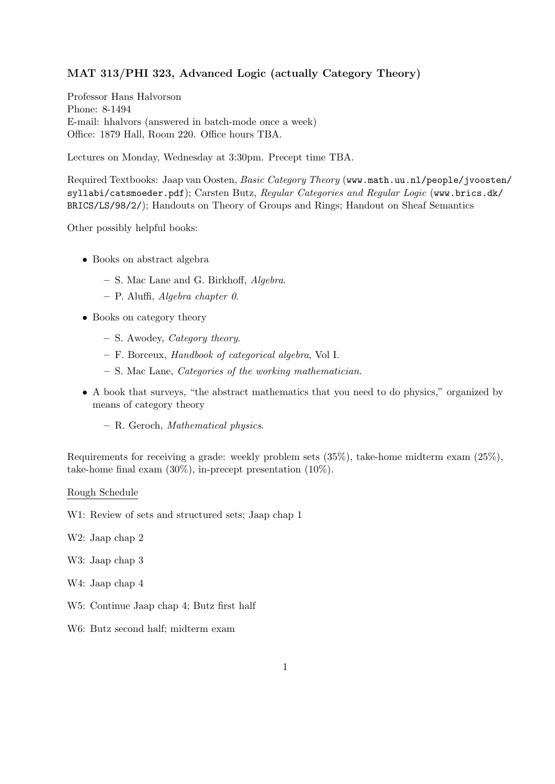## MAT 313/PHI 323, Advanced Logic (actually Category Theory)

Professor Hans Halvorson Phone: 8-1494 E-mail: hhalvors (answered in batch-mode once a week) Office: 1879 Hall, Room 220. Office hours TBA.

Lectures on Monday, Wednesday at 3:30pm. Precept time TBA.

Required Textbooks: Jaap van Oosten, Basic Category Theory (www.math.uu.nl/people/jvoosten/ syllabi/catsmoeder.pdf); Carsten Butz, Regular Categories and Regular Logic (www.brics.dk/ BRICS/LS/98/2/); Handouts on Theory of Groups and Rings; Handout on Sheaf Semantics

Other possibly helpful books:

- Books on abstract algebra
	- S. Mac Lane and G. Birkhoff, Algebra.
	- $-$  P. Aluffi, Algebra chapter 0.
- Books on category theory
	- S. Awodey, Category theory.
	- F. Borceux, Handbook of categorical algebra, Vol I.
	- S. Mac Lane, Categories of the working mathematician.
- A book that surveys, "the abstract mathematics that you need to do physics," organized by means of category theory
	- R. Geroch, Mathematical physics.

Requirements for receiving a grade: weekly problem sets (35%), take-home midterm exam (25%), take-home final exam  $(30\%)$ , in-precept presentation  $(10\%)$ .

## Rough Schedule

W1: Review of sets and structured sets; Jaap chap 1

- W2: Jaap chap 2
- W3: Jaap chap 3
- W4: Jaap chap 4
- W5: Continue Jaap chap 4; Butz first half
- W6: Butz second half; midterm exam